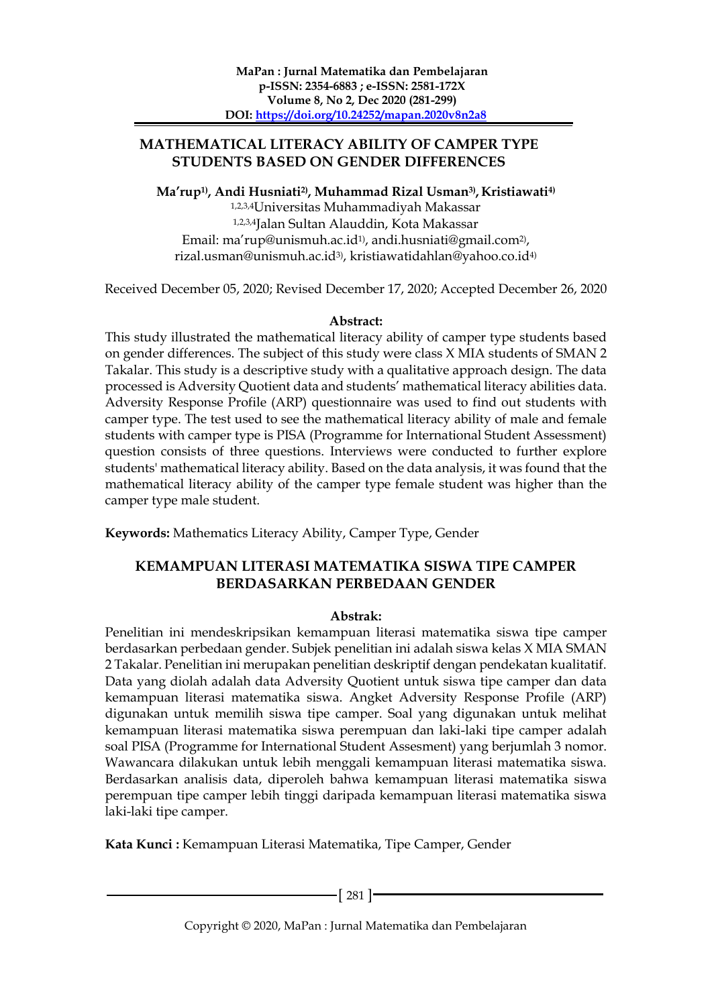### **MATHEMATICAL LITERACY ABILITY OF CAMPER TYPE STUDENTS BASED ON GENDER DIFFERENCES**

**Ma'rup1) , Andi Husniati2) , Muhammad Rizal Usman3) , Kristiawati4)**

1,2,3,4Universitas Muhammadiyah Makassar 1,2,3,4Jalan Sultan Alauddin, Kota Makassar Email: ma'rup@unismuh.ac.id1) , [andi.husniati@gmail.com](mailto:xxxx@xxxx.xxx2)2) , rizal.usman@unismuh.ac.id3) , kristiawatidahlan@yahoo.co.id4)

Received December 05, 2020; Revised December 17, 2020; Accepted December 26, 2020

### **Abstract:**

This study illustrated the mathematical literacy ability of camper type students based on gender differences. The subject of this study were class X MIA students of SMAN 2 Takalar. This study is a descriptive study with a qualitative approach design. The data processed is Adversity Quotient data and students' mathematical literacy abilities data. Adversity Response Profile (ARP) questionnaire was used to find out students with camper type. The test used to see the mathematical literacy ability of male and female students with camper type is PISA (Programme for International Student Assessment) question consists of three questions. Interviews were conducted to further explore students' mathematical literacy ability. Based on the data analysis, it was found that the mathematical literacy ability of the camper type female student was higher than the camper type male student.

**Keywords:** Mathematics Literacy Ability, Camper Type, Gender

## **KEMAMPUAN LITERASI MATEMATIKA SISWA TIPE CAMPER BERDASARKAN PERBEDAAN GENDER**

#### **Abstrak:**

Penelitian ini mendeskripsikan kemampuan literasi matematika siswa tipe camper berdasarkan perbedaan gender. Subjek penelitian ini adalah siswa kelas X MIA SMAN 2 Takalar. Penelitian ini merupakan penelitian deskriptif dengan pendekatan kualitatif. Data yang diolah adalah data Adversity Quotient untuk siswa tipe camper dan data kemampuan literasi matematika siswa. Angket Adversity Response Profile (ARP) digunakan untuk memilih siswa tipe camper. Soal yang digunakan untuk melihat kemampuan literasi matematika siswa perempuan dan laki-laki tipe camper adalah soal PISA (Programme for International Student Assesment) yang berjumlah 3 nomor. Wawancara dilakukan untuk lebih menggali kemampuan literasi matematika siswa. Berdasarkan analisis data, diperoleh bahwa kemampuan literasi matematika siswa perempuan tipe camper lebih tinggi daripada kemampuan literasi matematika siswa laki-laki tipe camper.

**Kata Kunci :** Kemampuan Literasi Matematika, Tipe Camper, Gender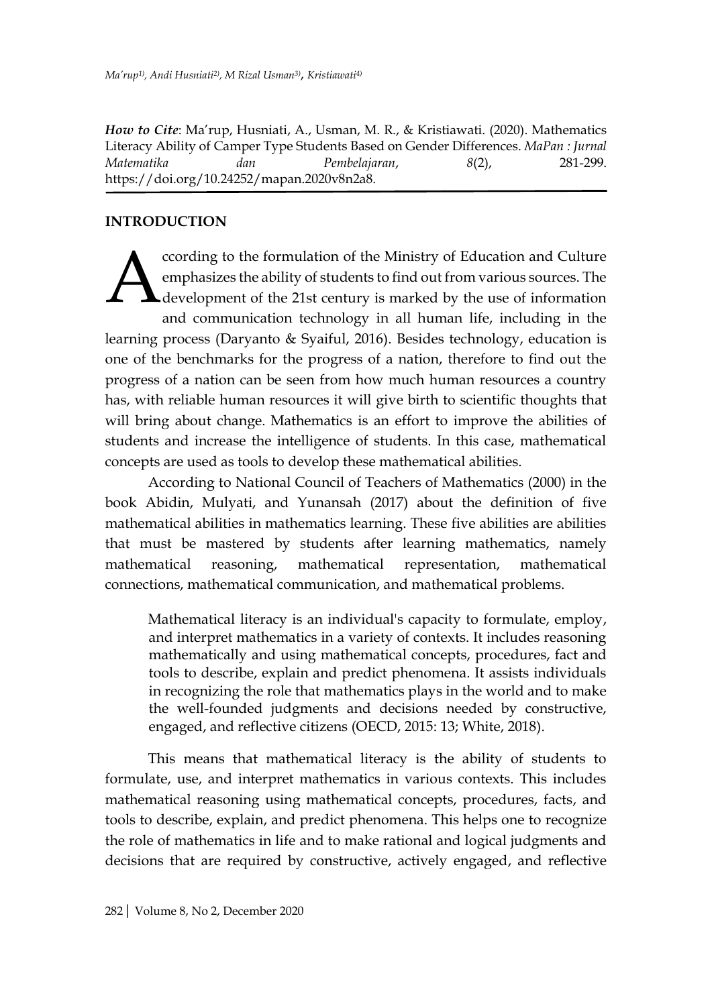*How to Cite*: Ma'rup, Husniati, A., Usman, M. R., & Kristiawati. (2020). Mathematics Literacy Ability of Camper Type Students Based on Gender Differences. *MaPan : Jurnal Matematika dan Pembelajaran*, *8*(2), 281-299. https://doi.org/10.24252/mapan.2020v8n2a8.

### **INTRODUCTION**

ccording to the formulation of the Ministry of Education and Culture emphasizes the ability of students to find out from various sources. The development of the 21st century is marked by the use of information and communication technology in all human life, including in the learning process (Daryanto & Syaiful, 2016). Besides technology, education is one of the benchmarks for the progress of a nation, therefore to find out the progress of a nation can be seen from how much human resources a country has, with reliable human resources it will give birth to scientific thoughts that will bring about change. Mathematics is an effort to improve the abilities of students and increase the intelligence of students. In this case, mathematical concepts are used as tools to develop these mathematical abilities. A

According to National Council of Teachers of Mathematics (2000) in the book Abidin, Mulyati, and Yunansah (2017) about the definition of five mathematical abilities in mathematics learning. These five abilities are abilities that must be mastered by students after learning mathematics, namely mathematical reasoning, mathematical representation, mathematical connections, mathematical communication, and mathematical problems.

Mathematical literacy is an individual's capacity to formulate, employ, and interpret mathematics in a variety of contexts. It includes reasoning mathematically and using mathematical concepts, procedures, fact and tools to describe, explain and predict phenomena. It assists individuals in recognizing the role that mathematics plays in the world and to make the well-founded judgments and decisions needed by constructive, engaged, and reflective citizens (OECD, 2015: 13; White, 2018).

This means that mathematical literacy is the ability of students to formulate, use, and interpret mathematics in various contexts. This includes mathematical reasoning using mathematical concepts, procedures, facts, and tools to describe, explain, and predict phenomena. This helps one to recognize the role of mathematics in life and to make rational and logical judgments and decisions that are required by constructive, actively engaged, and reflective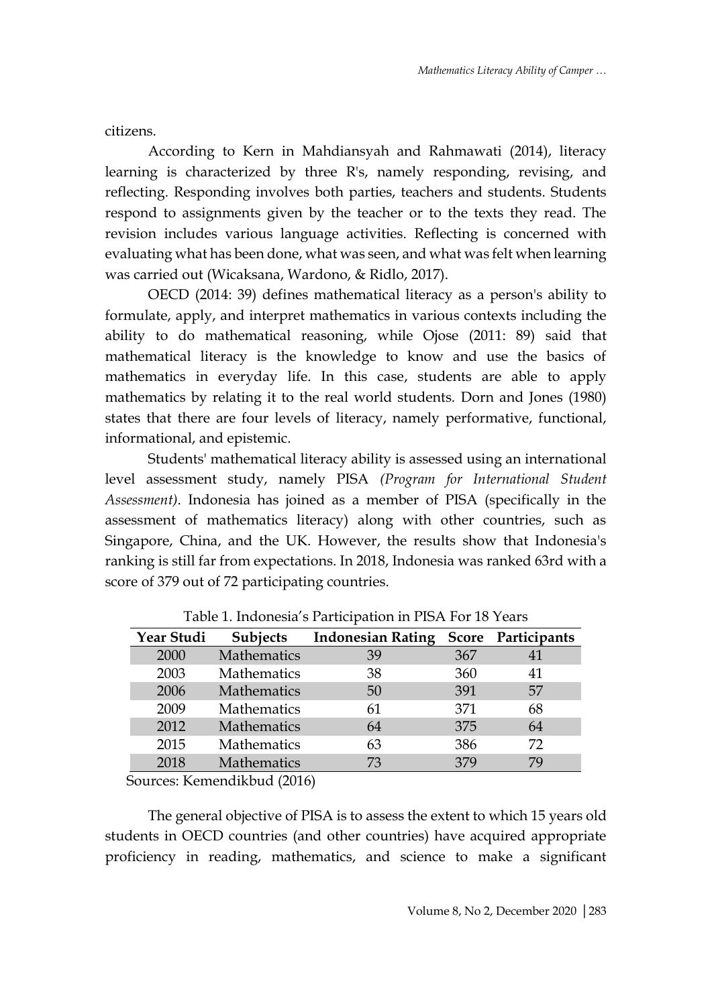citizens.

According to Kern in Mahdiansyah and Rahmawati (2014), literacy learning is characterized by three R's, namely responding, revising, and reflecting. Responding involves both parties, teachers and students. Students respond to assignments given by the teacher or to the texts they read. The revision includes various language activities. Reflecting is concerned with evaluating what has been done, what was seen, and what was felt when learning was carried out (Wicaksana, Wardono, & Ridlo, 2017).

OECD (2014: 39) defines mathematical literacy as a person's ability to formulate, apply, and interpret mathematics in various contexts including the ability to do mathematical reasoning, while Ojose (2011: 89) said that mathematical literacy is the knowledge to know and use the basics of mathematics in everyday life. In this case, students are able to apply mathematics by relating it to the real world students. Dorn and Jones (1980) states that there are four levels of literacy, namely performative, functional, informational, and epistemic.

Students' mathematical literacy ability is assessed using an international level assessment study, namely PISA *(Program for International Student Assessment)*. Indonesia has joined as a member of PISA (specifically in the assessment of mathematics literacy) along with other countries, such as Singapore, China, and the UK. However, the results show that Indonesia's ranking is still far from expectations. In 2018, Indonesia was ranked 63rd with a score of 379 out of 72 participating countries.

| Year Studi | <b>Subjects</b>    | <b>Indonesian Rating</b> |     | Score Participants |
|------------|--------------------|--------------------------|-----|--------------------|
| 2000       | Mathematics        | 39                       | 367 |                    |
| 2003       | <b>Mathematics</b> | 38                       | 360 | 41                 |
| 2006       | Mathematics        | 50                       | 391 | 57                 |
| 2009       | <b>Mathematics</b> | 61                       | 371 | 68                 |
| 2012       | Mathematics        | 64                       | 375 | 64                 |
| 2015       | <b>Mathematics</b> | 63                       | 386 | 72                 |
| 2018       | Mathematics        | 73                       | 379 | 79                 |

Table 1. Indonesia's Participation in PISA For 18 Years

Sources: Kemendikbud (2016)

The general objective of PISA is to assess the extent to which 15 years old students in OECD countries (and other countries) have acquired appropriate proficiency in reading, mathematics, and science to make a significant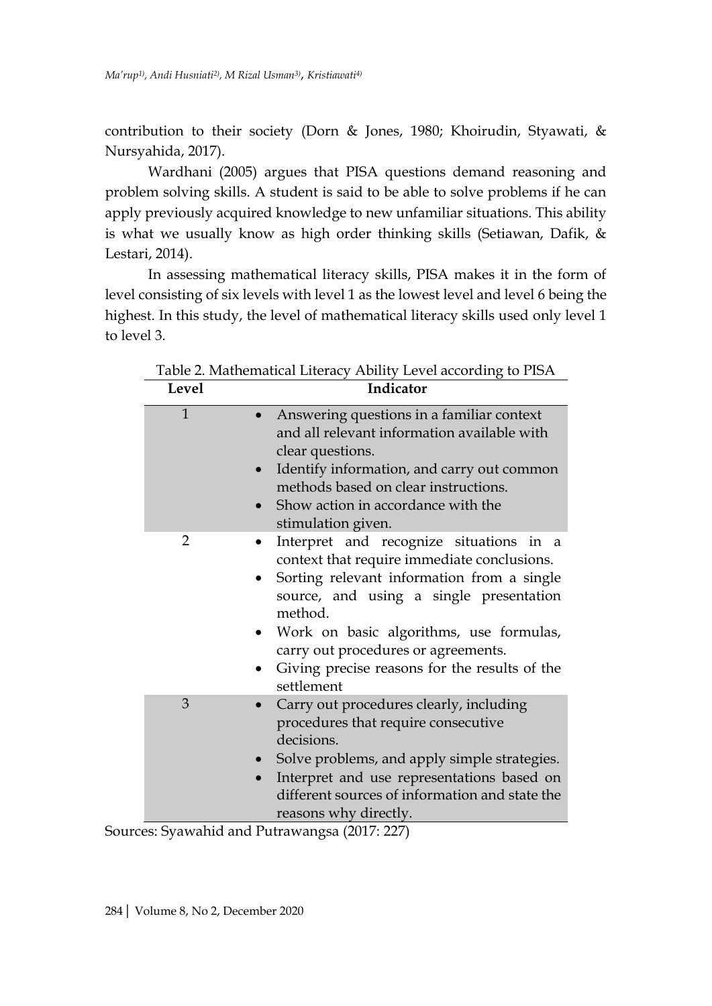contribution to their society (Dorn & Jones, 1980; Khoirudin, Styawati, & Nursyahida, 2017).

Wardhani (2005) argues that PISA questions demand reasoning and problem solving skills. A student is said to be able to solve problems if he can apply previously acquired knowledge to new unfamiliar situations. This ability is what we usually know as high order thinking skills (Setiawan, Dafik, & Lestari, 2014).

In assessing mathematical literacy skills, PISA makes it in the form of level consisting of six levels with level 1 as the lowest level and level 6 being the highest. In this study, the level of mathematical literacy skills used only level 1 to level 3.

| Level          | Indicator                                                                                                                                                                                                                                                                                                                                   |
|----------------|---------------------------------------------------------------------------------------------------------------------------------------------------------------------------------------------------------------------------------------------------------------------------------------------------------------------------------------------|
| $\mathbf{1}$   | Answering questions in a familiar context<br>and all relevant information available with<br>clear questions.<br>Identify information, and carry out common<br>$\bullet$<br>methods based on clear instructions.<br>Show action in accordance with the<br>$\bullet$<br>stimulation given.                                                    |
| $\overline{2}$ | Interpret and recognize situations in a<br>context that require immediate conclusions.<br>Sorting relevant information from a single<br>source, and using a single presentation<br>method.<br>Work on basic algorithms, use formulas,<br>carry out procedures or agreements.<br>Giving precise reasons for the results of the<br>settlement |
| 3              | Carry out procedures clearly, including<br>procedures that require consecutive<br>decisions.<br>Solve problems, and apply simple strategies.<br>$\bullet$<br>Interpret and use representations based on<br>different sources of information and state the<br>reasons why directly.                                                          |

Table 2. Mathematical Literacy Ability Level according to PISA

Sources: Syawahid and Putrawangsa (2017: 227)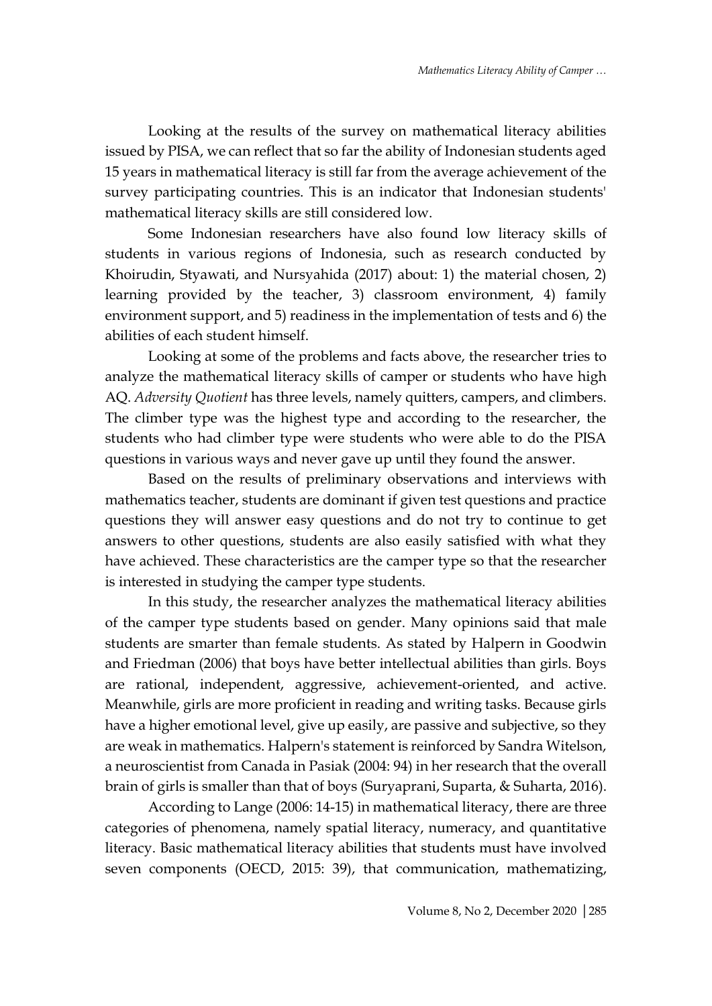Looking at the results of the survey on mathematical literacy abilities issued by PISA, we can reflect that so far the ability of Indonesian students aged 15 years in mathematical literacy is still far from the average achievement of the survey participating countries. This is an indicator that Indonesian students' mathematical literacy skills are still considered low.

Some Indonesian researchers have also found low literacy skills of students in various regions of Indonesia, such as research conducted by Khoirudin, Styawati, and Nursyahida (2017) about: 1) the material chosen, 2) learning provided by the teacher, 3) classroom environment, 4) family environment support, and 5) readiness in the implementation of tests and 6) the abilities of each student himself.

Looking at some of the problems and facts above, the researcher tries to analyze the mathematical literacy skills of camper or students who have high AQ. *Adversity Quotient* has three levels, namely quitters, campers, and climbers. The climber type was the highest type and according to the researcher, the students who had climber type were students who were able to do the PISA questions in various ways and never gave up until they found the answer.

Based on the results of preliminary observations and interviews with mathematics teacher, students are dominant if given test questions and practice questions they will answer easy questions and do not try to continue to get answers to other questions, students are also easily satisfied with what they have achieved. These characteristics are the camper type so that the researcher is interested in studying the camper type students.

In this study, the researcher analyzes the mathematical literacy abilities of the camper type students based on gender. Many opinions said that male students are smarter than female students. As stated by Halpern in Goodwin and Friedman (2006) that boys have better intellectual abilities than girls. Boys are rational, independent, aggressive, achievement-oriented, and active. Meanwhile, girls are more proficient in reading and writing tasks. Because girls have a higher emotional level, give up easily, are passive and subjective, so they are weak in mathematics. Halpern's statement is reinforced by Sandra Witelson, a neuroscientist from Canada in Pasiak (2004: 94) in her research that the overall brain of girls is smaller than that of boys (Suryaprani, Suparta, & Suharta, 2016).

According to Lange (2006: 14-15) in mathematical literacy, there are three categories of phenomena, namely spatial literacy, numeracy, and quantitative literacy. Basic mathematical literacy abilities that students must have involved seven components (OECD, 2015: 39), that communication, mathematizing,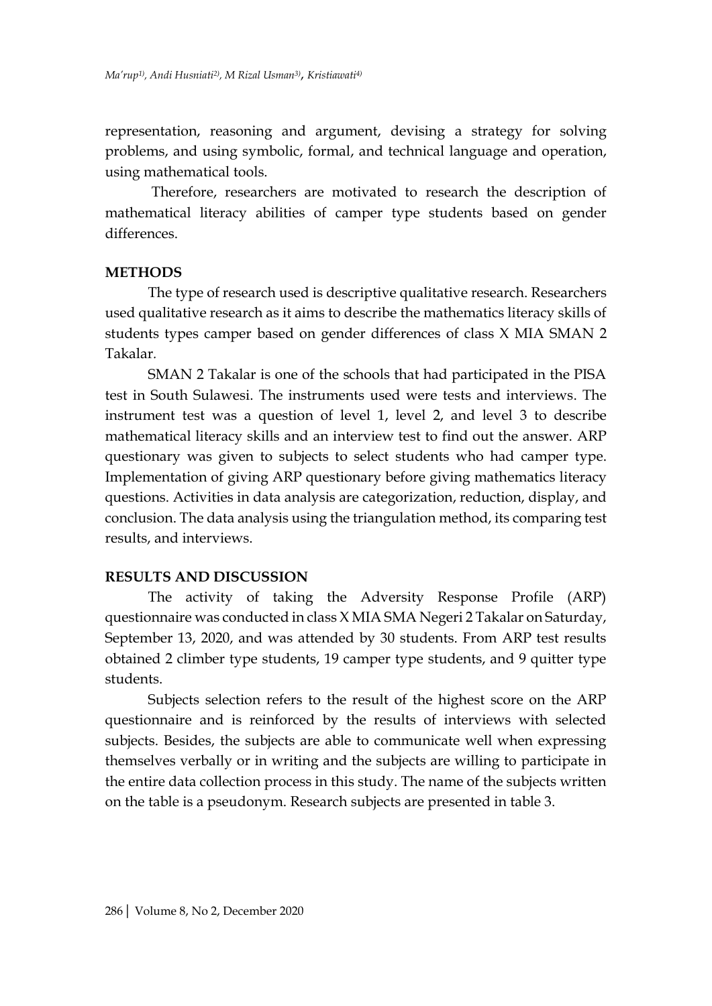representation, reasoning and argument, devising a strategy for solving problems, and using symbolic, formal, and technical language and operation, using mathematical tools.

Therefore, researchers are motivated to research the description of mathematical literacy abilities of camper type students based on gender differences.

#### **METHODS**

The type of research used is descriptive qualitative research. Researchers used qualitative research as it aims to describe the mathematics literacy skills of students types camper based on gender differences of class X MIA SMAN 2 Takalar*.*

SMAN 2 Takalar is one of the schools that had participated in the PISA test in South Sulawesi. The instruments used were tests and interviews. The instrument test was a question of level 1, level 2, and level 3 to describe mathematical literacy skills and an interview test to find out the answer. ARP questionary was given to subjects to select students who had camper type. Implementation of giving ARP questionary before giving mathematics literacy questions. Activities in data analysis are categorization, reduction, display, and conclusion. The data analysis using the triangulation method, its comparing test results, and interviews.

#### **RESULTS AND DISCUSSION**

The activity of taking the Adversity Response Profile (ARP) questionnaire was conducted in class X MIA SMA Negeri 2 Takalar on Saturday, September 13, 2020, and was attended by 30 students. From ARP test results obtained 2 climber type students, 19 camper type students, and 9 quitter type students.

Subjects selection refers to the result of the highest score on the ARP questionnaire and is reinforced by the results of interviews with selected subjects. Besides, the subjects are able to communicate well when expressing themselves verbally or in writing and the subjects are willing to participate in the entire data collection process in this study. The name of the subjects written on the table is a pseudonym. Research subjects are presented in table 3.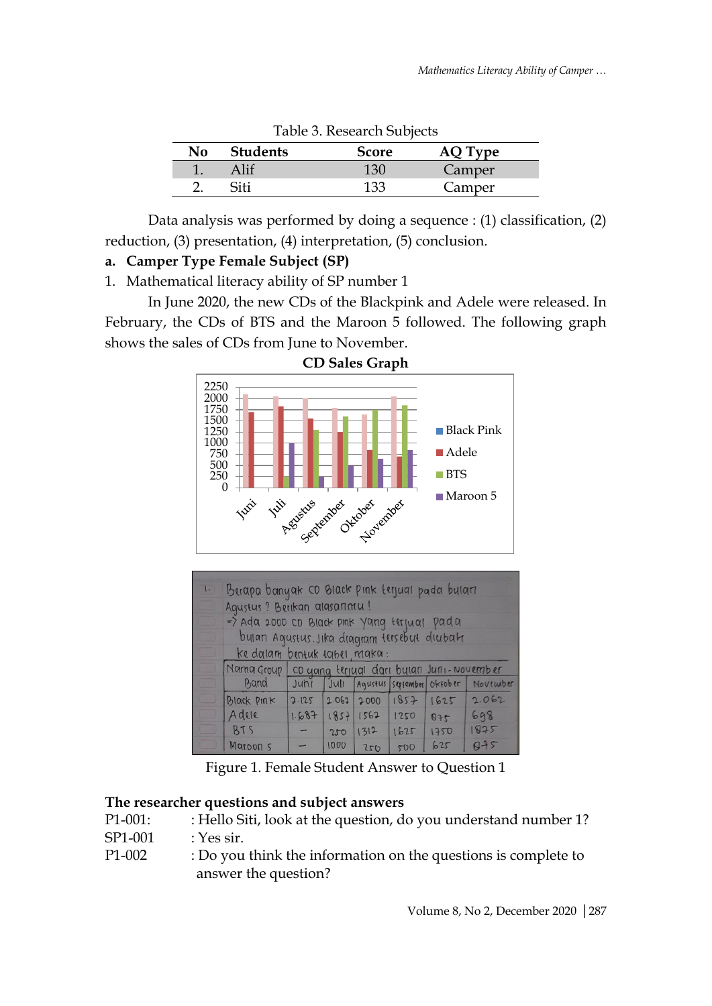|     |          | Tubic 9. Research Bubjecto |                |
|-----|----------|----------------------------|----------------|
| No. | Students | <b>Score</b>               | <b>AQ Type</b> |
|     |          | 130                        | Camper         |
|     | Siti     | 133                        | Camper         |

Table 3. Research Subjects

Data analysis was performed by doing a sequence : (1) classification, (2) reduction, (3) presentation, (4) interpretation, (5) conclusion.

## **a. Camper Type Female Subject (SP)**

1. Mathematical literacy ability of SP number 1

In June 2020, the new CDs of the Blackpink and Adele were released. In February, the CDs of BTS and the Maroon 5 followed. The following graph shows the sales of CDs from June to November.



| $\left  \cdot \right $ | Berapa banyak CD Black pink terjual pada buları     |  |      |                              |             |     |                                                   |
|------------------------|-----------------------------------------------------|--|------|------------------------------|-------------|-----|---------------------------------------------------|
|                        | Agustus ? Berikan alasanmu!                         |  |      |                              |             |     |                                                   |
|                        | => Ada 2000 co Black pink yang terjual pada         |  |      |                              |             |     |                                                   |
|                        | bulan Agustus. Jika diagram tersebut diubah         |  |      |                              |             |     |                                                   |
|                        | ke dalam bentuk tabel, maka:                        |  |      |                              |             |     |                                                   |
|                        | Nama Group co yang terjual dari bylan Juni-November |  |      |                              |             |     |                                                   |
|                        |                                                     |  |      |                              |             |     | Band Juni Juli Agustus september oktober November |
|                        | <b>Black PINK</b>                                   |  |      |                              |             |     | $2.125$ 2.062 2000 1857 1625 2.062                |
|                        | Adele                                               |  |      | $1.687$ $1857$ $1562$ $1250$ |             | 975 | 698                                               |
|                        | BTS                                                 |  | 250  | 1312                         | 1625   1750 |     | 1875                                              |
|                        | Maroon 5                                            |  | 1000 | 250                          | 500         | 625 | 045                                               |

Figure 1. Female Student Answer to Question 1

### **The researcher questions and subject answers**

- P1-001: : Hello Siti, look at the question, do you understand number 1? SP1-001 : Yes sir.
- P1-002 : Do you think the information on the questions is complete to answer the question?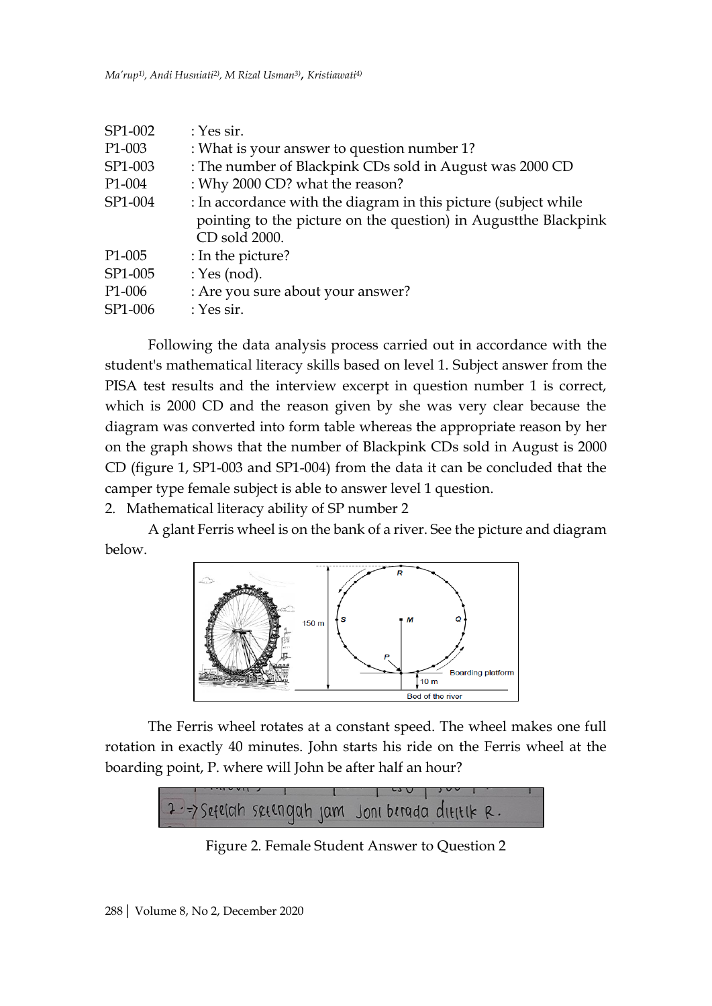| SP1-002             | $: Yes$ sir.                                                                                                                                         |
|---------------------|------------------------------------------------------------------------------------------------------------------------------------------------------|
| P <sub>1</sub> -003 | : What is your answer to question number 1?                                                                                                          |
| SP1-003             | : The number of Blackpink CDs sold in August was 2000 CD                                                                                             |
| P <sub>1</sub> -004 | : Why 2000 CD? what the reason?                                                                                                                      |
| SP1-004             | : In accordance with the diagram in this picture (subject while<br>pointing to the picture on the question) in August the Blackpink<br>CD sold 2000. |
| P <sub>1</sub> -005 | : In the picture?                                                                                                                                    |
| SP1-005             | : Yes (nod).                                                                                                                                         |
| P <sub>1</sub> -006 | : Are you sure about your answer?                                                                                                                    |
| SP1-006             | : Yes sir.                                                                                                                                           |

Following the data analysis process carried out in accordance with the student's mathematical literacy skills based on level 1. Subject answer from the PISA test results and the interview excerpt in question number 1 is correct, which is 2000 CD and the reason given by she was very clear because the diagram was converted into form table whereas the appropriate reason by her on the graph shows that the number of Blackpink CDs sold in August is 2000 CD (figure 1, SP1-003 and SP1-004) from the data it can be concluded that the camper type female subject is able to answer level 1 question.

2. Mathematical literacy ability of SP number 2

A glant Ferris wheel is on the bank of a river. See the picture and diagram below.



The Ferris wheel rotates at a constant speed. The wheel makes one full rotation in exactly 40 minutes. John starts his ride on the Ferris wheel at the boarding point, P. where will John be after half an hour?



Figure 2. Female Student Answer to Question 2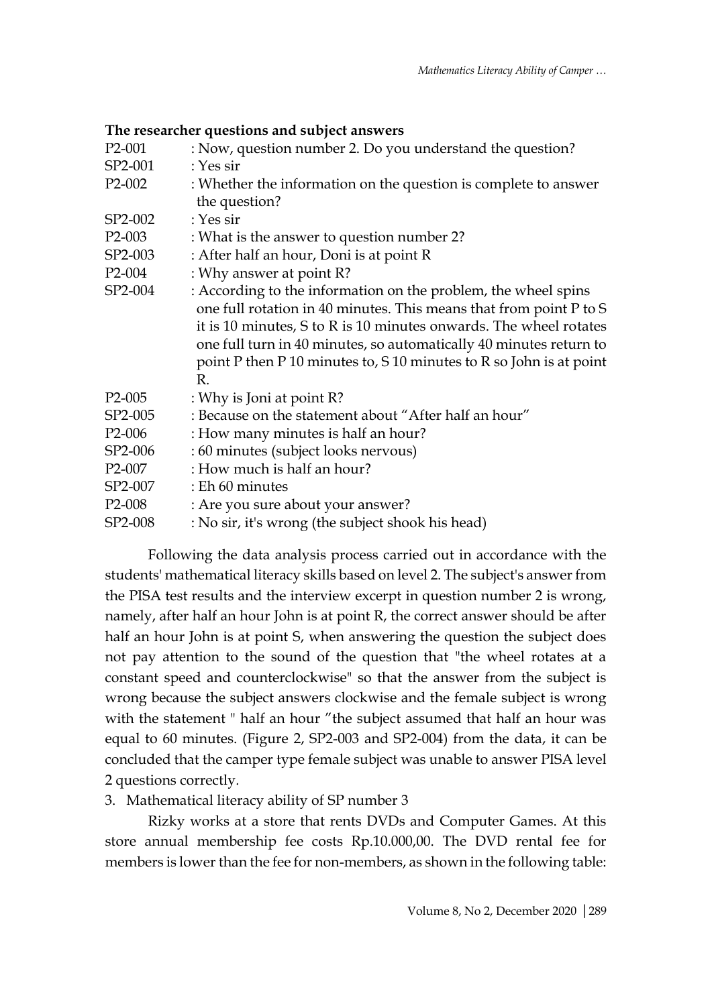|  |  | The researcher questions and subject answers |
|--|--|----------------------------------------------|
|--|--|----------------------------------------------|

| P <sub>2</sub> -001 | : Now, question number 2. Do you understand the question?           |
|---------------------|---------------------------------------------------------------------|
| SP2-001             | : Yes sir                                                           |
| $P2-002$            | : Whether the information on the question is complete to answer     |
|                     | the question?                                                       |
| SP2-002             | : Yes sir                                                           |
| $P2-003$            | : What is the answer to question number 2?                          |
| SP2-003             | : After half an hour, Doni is at point R                            |
| P <sub>2</sub> -004 | : Why answer at point R?                                            |
| SP2-004             | : According to the information on the problem, the wheel spins      |
|                     | one full rotation in 40 minutes. This means that from point P to S  |
|                     | it is 10 minutes, S to R is 10 minutes onwards. The wheel rotates   |
|                     | one full turn in 40 minutes, so automatically 40 minutes return to  |
|                     | point P then P 10 minutes to, S 10 minutes to R so John is at point |
|                     | R.                                                                  |
| P <sub>2</sub> -005 | : Why is Joni at point R?                                           |
| SP2-005             | : Because on the statement about "After half an hour"               |
| P <sub>2</sub> -006 | : How many minutes is half an hour?                                 |
| SP2-006             | : 60 minutes (subject looks nervous)                                |
| P <sub>2</sub> -007 | : How much is half an hour?                                         |
| SP2-007             | : Eh 60 minutes                                                     |
| $P2-008$            | : Are you sure about your answer?                                   |
| SP2-008             | : No sir, it's wrong (the subject shook his head)                   |

Following the data analysis process carried out in accordance with the students' mathematical literacy skills based on level 2. The subject's answer from the PISA test results and the interview excerpt in question number 2 is wrong, namely, after half an hour John is at point R, the correct answer should be after half an hour John is at point S, when answering the question the subject does not pay attention to the sound of the question that "the wheel rotates at a constant speed and counterclockwise" so that the answer from the subject is wrong because the subject answers clockwise and the female subject is wrong with the statement " half an hour "the subject assumed that half an hour was equal to 60 minutes. (Figure 2, SP2-003 and SP2-004) from the data, it can be concluded that the camper type female subject was unable to answer PISA level 2 questions correctly*.*

3. Mathematical literacy ability of SP number 3

Rizky works at a store that rents DVDs and Computer Games. At this store annual membership fee costs Rp.10.000,00. The DVD rental fee for members is lower than the fee for non-members, as shown in the following table: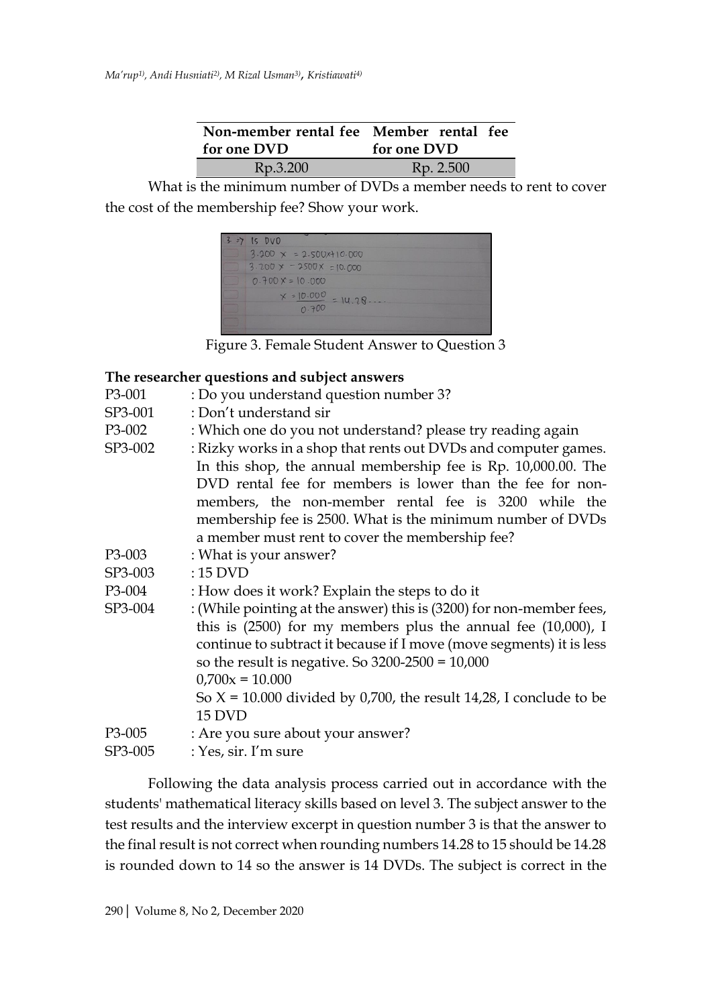| Non-member rental fee Member rental fee |             |
|-----------------------------------------|-------------|
| for one DVD                             | for one DVD |
| Rp.3.200                                | Rp. 2.500   |

What is the minimum number of DVDs a member needs to rent to cover the cost of the membership fee? Show your work.



Figure 3. Female Student Answer to Question 3

### **The researcher questions and subject answers**

- P3-001 : Do you understand question number 3?
- SP3-001 : Don't understand sir
- P3-002 : Which one do you not understand? please try reading again
- SP3-002 : Rizky works in a shop that rents out DVDs and computer games. In this shop, the annual membership fee is Rp. 10,000.00. The DVD rental fee for members is lower than the fee for nonmembers, the non-member rental fee is 3200 while the membership fee is 2500. What is the minimum number of DVDs a member must rent to cover the membership fee?
- P3-003 : What is your answer?
- SP3-003 : 15 DVD

P3-004 : How does it work? Explain the steps to do it

SP3-004 : (While pointing at the answer) this is (3200) for non-member fees, this is (2500) for my members plus the annual fee (10,000), I continue to subtract it because if I move (move segments) it is less so the result is negative. So 3200-2500 = 10,000  $0,700x = 10,000$ So  $X = 10.000$  divided by 0,700, the result 14,28, I conclude to be 15 DVD P3-005 : Are you sure about your answer?  $SP3-005$  : Yes, sir. I'm sure

Following the data analysis process carried out in accordance with the students' mathematical literacy skills based on level 3. The subject answer to the test results and the interview excerpt in question number 3 is that the answer to the final result is not correct when rounding numbers 14.28 to 15 should be 14.28 is rounded down to 14 so the answer is 14 DVDs. The subject is correct in the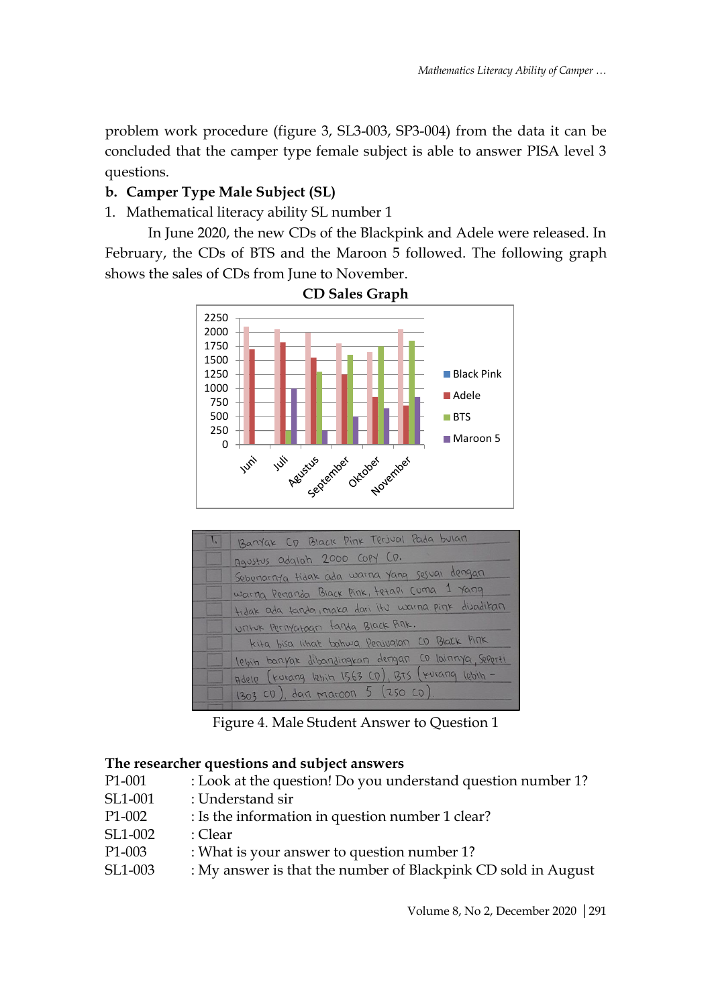problem work procedure (figure 3, SL3-003, SP3-004) from the data it can be concluded that the camper type female subject is able to answer PISA level 3 questions.

# **b. Camper Type Male Subject (SL)**

1. Mathematical literacy ability SL number 1

In June 2020, the new CDs of the Blackpink and Adele were released. In February, the CDs of BTS and the Maroon 5 followed. The following graph shows the sales of CDs from June to November.



**CD Sales Graph**

| $\mathbf{I}$ | Barryak CD Black Pink Terjual Pada bulan             |
|--------------|------------------------------------------------------|
|              | Agustus adglah 2000 COPY CD.                         |
|              | Sebenarnya tidak ada warna yang sesuai dengan        |
|              | warna Penanda Black Pink, tetapi Cuma 1 yang         |
|              | tidak ada tanda, maka dari itu warna pink duadikan   |
|              | Untuk Pernyataan tanda Black Pink.                   |
|              | kita bisa iihat bahwa Perwalan CD Black PINK         |
|              | lebih banyak dibandingkan dengan CD lainnya, Seporti |
|              | Adele [turang lebit 1563 CD], BTS [turang lebih -    |
|              | 1303 CD), darl Maroon 5 (250 CD).                    |

Figure 4. Male Student Answer to Question 1

### **The researcher questions and subject answers**

- P1-001 : Look at the question! Do you understand question number 1?
- SL1-001 : Understand sir
- P1-002 : Is the information in question number 1 clear?
- SL1-002 : Clear
- P1-003 : What is your answer to question number 1?
- SL1-003 : My answer is that the number of Blackpink CD sold in August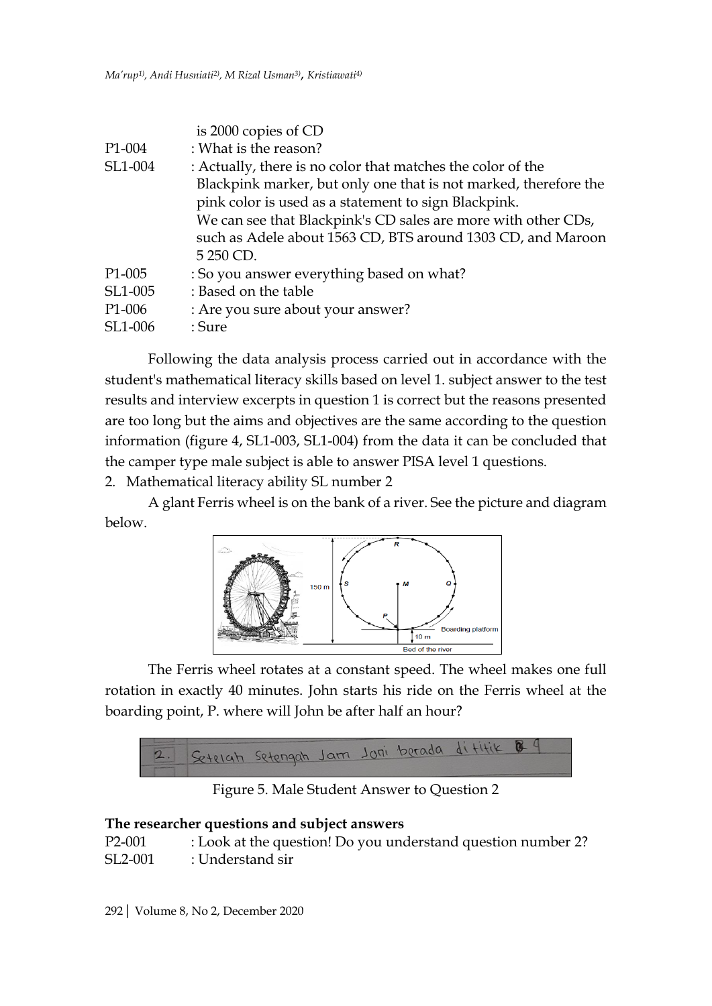|                     | is 2000 copies of CD                                             |
|---------------------|------------------------------------------------------------------|
| P <sub>1</sub> -004 | : What is the reason?                                            |
| SL1-004             | : Actually, there is no color that matches the color of the      |
|                     | Blackpink marker, but only one that is not marked, therefore the |
|                     | pink color is used as a statement to sign Blackpink.             |
|                     | We can see that Blackpink's CD sales are more with other CDs,    |
|                     | such as Adele about 1563 CD, BTS around 1303 CD, and Maroon      |
|                     | 5 250 CD.                                                        |
| P <sub>1</sub> -005 | : So you answer everything based on what?                        |
| SL1-005             | : Based on the table                                             |
| P <sub>1</sub> -006 | : Are you sure about your answer?                                |
| SL1-006             | : Sure                                                           |

Following the data analysis process carried out in accordance with the student's mathematical literacy skills based on level 1. subject answer to the test results and interview excerpts in question 1 is correct but the reasons presented are too long but the aims and objectives are the same according to the question information (figure 4, SL1-003, SL1-004) from the data it can be concluded that the camper type male subject is able to answer PISA level 1 questions.

2. Mathematical literacy ability SL number 2

A glant Ferris wheel is on the bank of a river. See the picture and diagram below.



The Ferris wheel rotates at a constant speed. The wheel makes one full rotation in exactly 40 minutes. John starts his ride on the Ferris wheel at the boarding point, P. where will John be after half an hour?



Figure 5. Male Student Answer to Question 2

### **The researcher questions and subject answers**

| P <sub>2</sub> -001  | : Look at the question! Do you understand question number 2? |
|----------------------|--------------------------------------------------------------|
| SL <sub>2</sub> -001 | : Understand sir                                             |

292| Volume 8, No 2, December 2020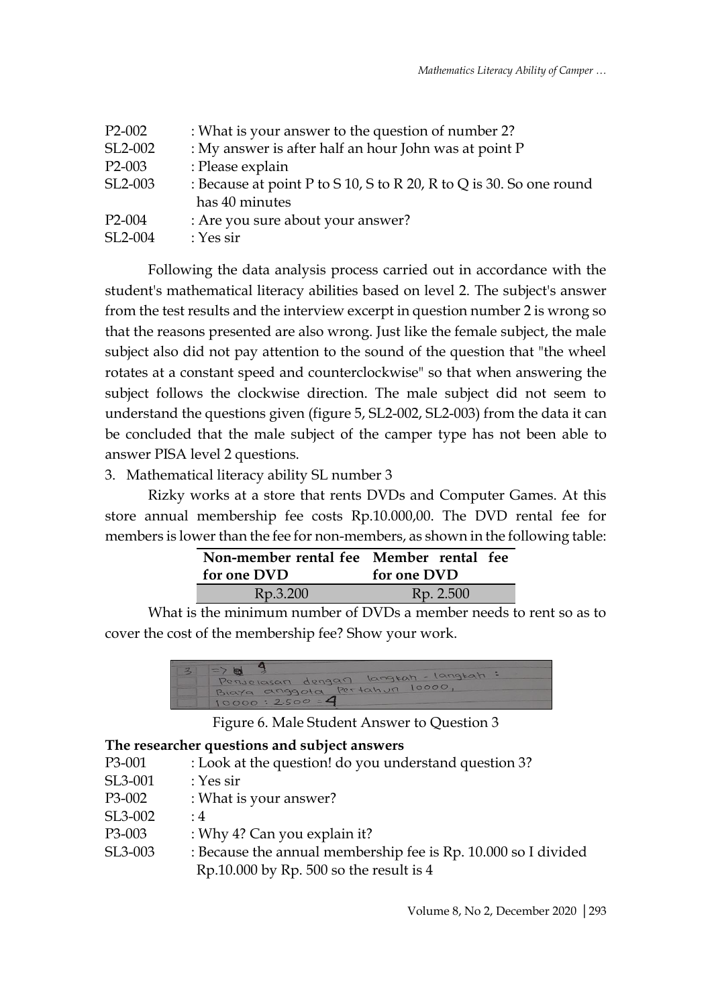| P <sub>2</sub> -00 <sub>2</sub> | : What is your answer to the question of number 2?                  |
|---------------------------------|---------------------------------------------------------------------|
| SL2-002                         | : My answer is after half an hour John was at point P               |
| P <sub>2</sub> -003             | : Please explain                                                    |
| SL <sub>2</sub> -003            | : Because at point P to S 10, S to R 20, R to Q is 30. So one round |
|                                 | has 40 minutes                                                      |
| P <sub>2</sub> -004             | : Are you sure about your answer?                                   |
| SL2-004                         | : Yes sir                                                           |

Following the data analysis process carried out in accordance with the student's mathematical literacy abilities based on level 2. The subject's answer from the test results and the interview excerpt in question number 2 is wrong so that the reasons presented are also wrong. Just like the female subject, the male subject also did not pay attention to the sound of the question that "the wheel rotates at a constant speed and counterclockwise" so that when answering the subject follows the clockwise direction. The male subject did not seem to understand the questions given (figure 5, SL2-002, SL2-003) from the data it can be concluded that the male subject of the camper type has not been able to answer PISA level 2 questions.

# 3. Mathematical literacy ability SL number 3

Rizky works at a store that rents DVDs and Computer Games. At this store annual membership fee costs Rp.10.000,00. The DVD rental fee for members is lower than the fee for non-members, as shown in the following table:

| Non-member rental fee Member rental fee |             |  |
|-----------------------------------------|-------------|--|
| for one DVD                             | for one DVD |  |
| Rp.3.200                                | Rp. 2.500   |  |

What is the minimum number of DVDs a member needs to rent so as to cover the cost of the membership fee? Show your work.



Figure 6. Male Student Answer to Question 3

### **The researcher questions and subject answers**

| : Look at the question! do you understand question 3?                                                       |
|-------------------------------------------------------------------------------------------------------------|
| : Yes sir                                                                                                   |
| : What is your answer?                                                                                      |
| $\cdot$ 4                                                                                                   |
| : Why 4? Can you explain it?                                                                                |
| : Because the annual membership fee is Rp. 10.000 so I divided<br>Rp.10.000 by Rp. 500 so the result is $4$ |
|                                                                                                             |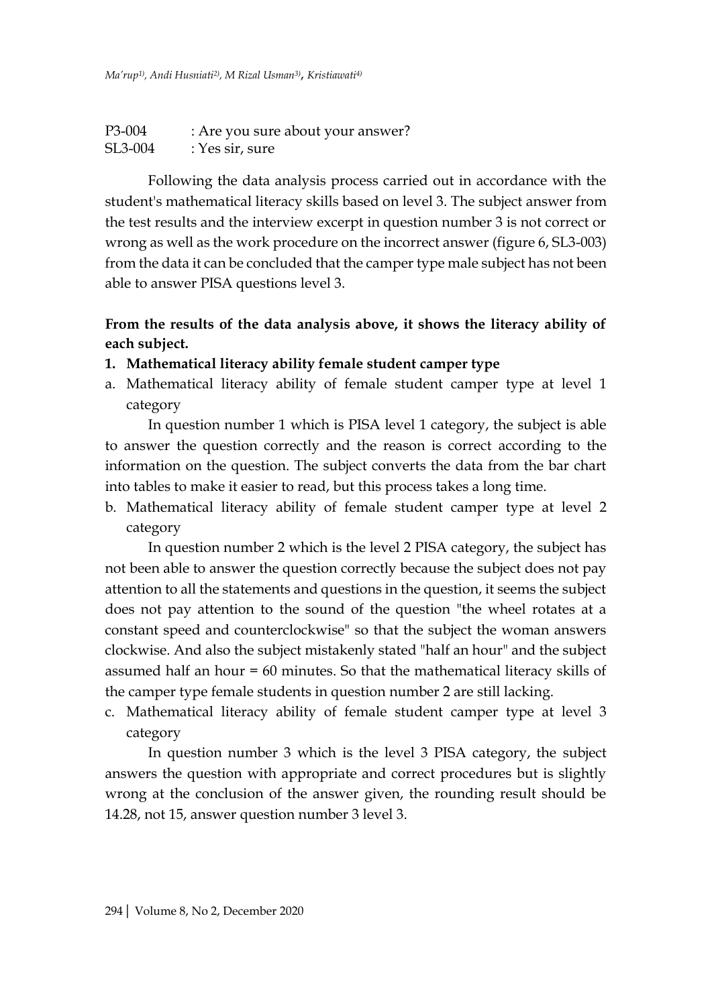| P3-004  | : Are you sure about your answer? |
|---------|-----------------------------------|
| SL3-004 | : Yes sir, sure                   |

Following the data analysis process carried out in accordance with the student's mathematical literacy skills based on level 3. The subject answer from the test results and the interview excerpt in question number 3 is not correct or wrong as well as the work procedure on the incorrect answer (figure 6, SL3-003) from the data it can be concluded that the camper type male subject has not been able to answer PISA questions level 3.

## **From the results of the data analysis above, it shows the literacy ability of each subject.**

- **1. Mathematical literacy ability female student camper type**
- a. Mathematical literacy ability of female student camper type at level 1 category

In question number 1 which is PISA level 1 category, the subject is able to answer the question correctly and the reason is correct according to the information on the question. The subject converts the data from the bar chart into tables to make it easier to read, but this process takes a long time.

b. Mathematical literacy ability of female student camper type at level 2 category

In question number 2 which is the level 2 PISA category, the subject has not been able to answer the question correctly because the subject does not pay attention to all the statements and questions in the question, it seems the subject does not pay attention to the sound of the question "the wheel rotates at a constant speed and counterclockwise" so that the subject the woman answers clockwise. And also the subject mistakenly stated "half an hour" and the subject assumed half an hour = 60 minutes. So that the mathematical literacy skills of the camper type female students in question number 2 are still lacking.

c. Mathematical literacy ability of female student camper type at level 3 category

In question number 3 which is the level 3 PISA category, the subject answers the question with appropriate and correct procedures but is slightly wrong at the conclusion of the answer given, the rounding result should be 14.28, not 15, answer question number 3 level 3.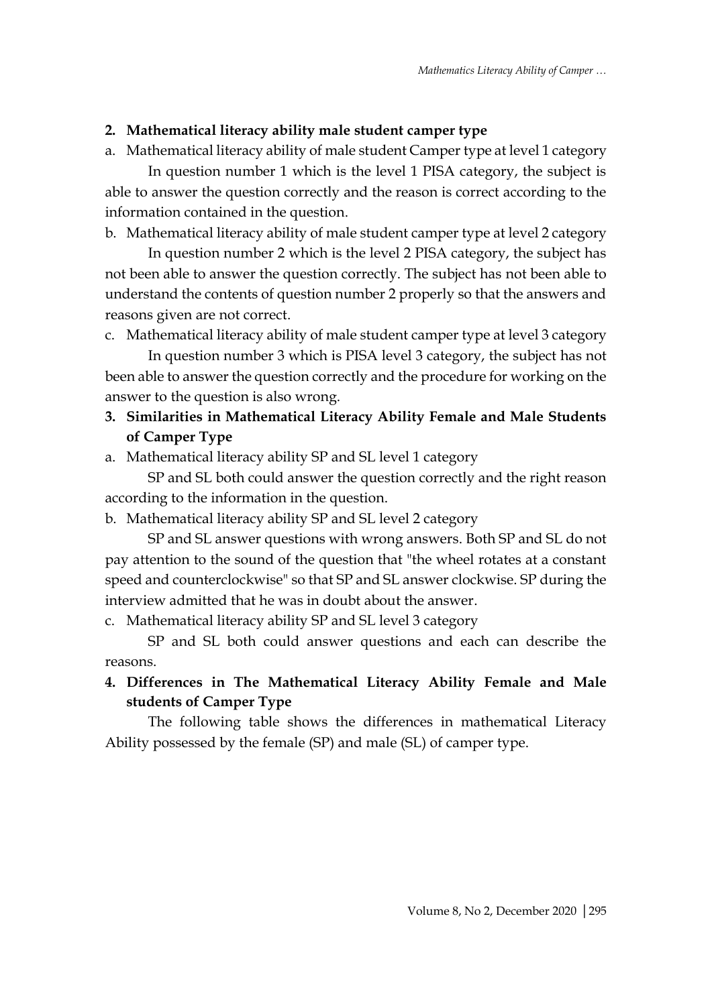# **2. Mathematical literacy ability male student camper type**

a. Mathematical literacy ability of male student Camper type at level 1 category

In question number 1 which is the level 1 PISA category, the subject is able to answer the question correctly and the reason is correct according to the information contained in the question.

b. Mathematical literacy ability of male student camper type at level 2 category

In question number 2 which is the level 2 PISA category, the subject has not been able to answer the question correctly. The subject has not been able to understand the contents of question number 2 properly so that the answers and reasons given are not correct.

c. Mathematical literacy ability of male student camper type at level 3 category

In question number 3 which is PISA level 3 category, the subject has not been able to answer the question correctly and the procedure for working on the answer to the question is also wrong.

- **3. Similarities in Mathematical Literacy Ability Female and Male Students of Camper Type**
- a. Mathematical literacy ability SP and SL level 1 category

SP and SL both could answer the question correctly and the right reason according to the information in the question.

b. Mathematical literacy ability SP and SL level 2 category

SP and SL answer questions with wrong answers. Both SP and SL do not pay attention to the sound of the question that "the wheel rotates at a constant speed and counterclockwise" so that SP and SL answer clockwise. SP during the interview admitted that he was in doubt about the answer.

c. Mathematical literacy ability SP and SL level 3 category

SP and SL both could answer questions and each can describe the reasons.

# **4. Differences in The Mathematical Literacy Ability Female and Male students of Camper Type**

The following table shows the differences in mathematical Literacy Ability possessed by the female (SP) and male (SL) of camper type.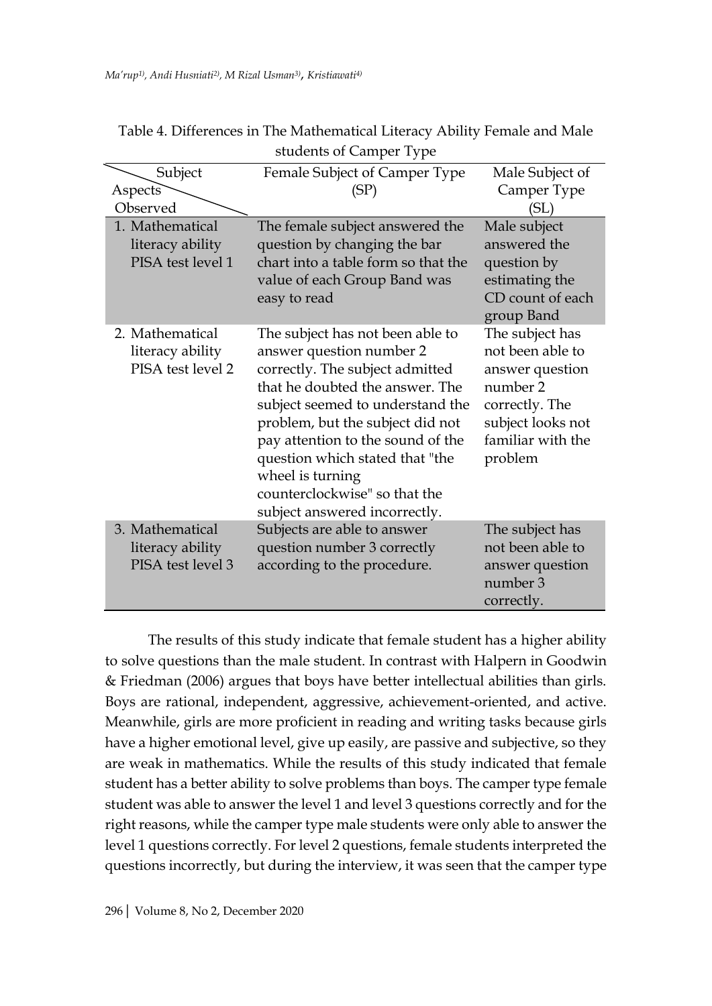|                                                          | $s$ <i>audelles</i> of Camper Type                                                                                                                                                                                                                                                                                                                                       |                                                                                                                                           |
|----------------------------------------------------------|--------------------------------------------------------------------------------------------------------------------------------------------------------------------------------------------------------------------------------------------------------------------------------------------------------------------------------------------------------------------------|-------------------------------------------------------------------------------------------------------------------------------------------|
| Subject<br>Aspects<br>Observed                           | Female Subject of Camper Type<br>(SP)                                                                                                                                                                                                                                                                                                                                    | Male Subject of<br>Camper Type<br>(SL)                                                                                                    |
| 1. Mathematical<br>literacy ability<br>PISA test level 1 | The female subject answered the<br>question by changing the bar<br>chart into a table form so that the<br>value of each Group Band was<br>easy to read                                                                                                                                                                                                                   | Male subject<br>answered the<br>question by<br>estimating the<br>CD count of each<br>group Band                                           |
| 2. Mathematical<br>literacy ability<br>PISA test level 2 | The subject has not been able to<br>answer question number 2<br>correctly. The subject admitted<br>that he doubted the answer. The<br>subject seemed to understand the<br>problem, but the subject did not<br>pay attention to the sound of the<br>question which stated that "the<br>wheel is turning<br>counterclockwise" so that the<br>subject answered incorrectly. | The subject has<br>not been able to<br>answer question<br>number 2<br>correctly. The<br>subject looks not<br>familiar with the<br>problem |
| 3. Mathematical<br>literacy ability<br>PISA test level 3 | Subjects are able to answer<br>question number 3 correctly<br>according to the procedure.                                                                                                                                                                                                                                                                                | The subject has<br>not been able to<br>answer question<br>number 3<br>correctly.                                                          |

Table 4. Differences in The Mathematical Literacy Ability Female and Male students of Camper Type

The results of this study indicate that female student has a higher ability to solve questions than the male student. In contrast with Halpern in Goodwin & Friedman (2006) argues that boys have better intellectual abilities than girls. Boys are rational, independent, aggressive, achievement-oriented, and active. Meanwhile, girls are more proficient in reading and writing tasks because girls have a higher emotional level, give up easily, are passive and subjective, so they are weak in mathematics. While the results of this study indicated that female student has a better ability to solve problems than boys. The camper type female student was able to answer the level 1 and level 3 questions correctly and for the right reasons, while the camper type male students were only able to answer the level 1 questions correctly. For level 2 questions, female students interpreted the questions incorrectly, but during the interview, it was seen that the camper type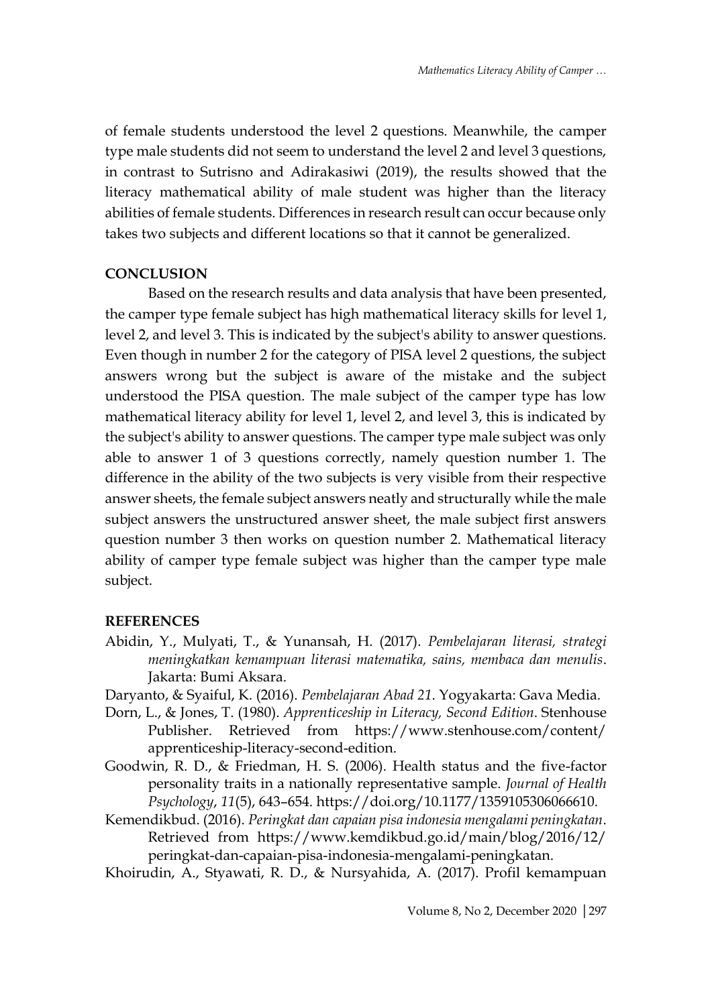of female students understood the level 2 questions. Meanwhile, the camper type male students did not seem to understand the level 2 and level 3 questions, in contrast to Sutrisno and Adirakasiwi (2019), the results showed that the literacy mathematical ability of male student was higher than the literacy abilities of female students. Differences in research result can occur because only takes two subjects and different locations so that it cannot be generalized.

### **CONCLUSION**

Based on the research results and data analysis that have been presented, the camper type female subject has high mathematical literacy skills for level 1, level 2, and level 3. This is indicated by the subject's ability to answer questions. Even though in number 2 for the category of PISA level 2 questions, the subject answers wrong but the subject is aware of the mistake and the subject understood the PISA question. The male subject of the camper type has low mathematical literacy ability for level 1, level 2, and level 3, this is indicated by the subject's ability to answer questions. The camper type male subject was only able to answer 1 of 3 questions correctly, namely question number 1. The difference in the ability of the two subjects is very visible from their respective answer sheets, the female subject answers neatly and structurally while the male subject answers the unstructured answer sheet, the male subject first answers question number 3 then works on question number 2. Mathematical literacy ability of camper type female subject was higher than the camper type male subject.

#### **REFERENCES**

- Abidin, Y., Mulyati, T., & Yunansah, H. (2017). *Pembelajaran literasi, strategi meningkatkan kemampuan literasi matematika, sains, membaca dan menulis*. Jakarta: Bumi Aksara.
- Daryanto, & Syaiful, K. (2016). *Pembelajaran Abad 21*. Yogyakarta: Gava Media.
- Dorn, L., & Jones, T. (1980). *Apprenticeship in Literacy, Second Edition*. Stenhouse Publisher. Retrieved from https://www.stenhouse.com/content/ apprenticeship-literacy-second-edition.
- Goodwin, R. D., & Friedman, H. S. (2006). Health status and the five-factor personality traits in a nationally representative sample. *Journal of Health Psychology*, *11*(5), 643–654. https://doi.org/10.1177/1359105306066610.
- Kemendikbud. (2016). *Peringkat dan capaian pisa indonesia mengalami peningkatan*. Retrieved from https://www.kemdikbud.go.id/main/blog/2016/12/ peringkat-dan-capaian-pisa-indonesia-mengalami-peningkatan.
- Khoirudin, A., Styawati, R. D., & Nursyahida, A. (2017). Profil kemampuan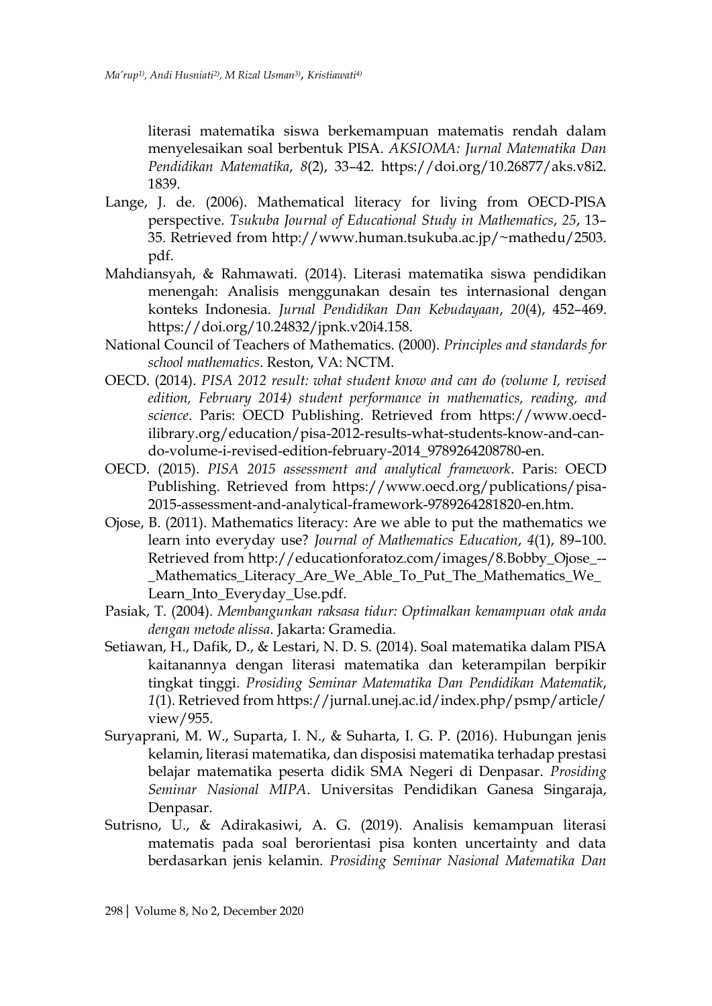literasi matematika siswa berkemampuan matematis rendah dalam menyelesaikan soal berbentuk PISA. *AKSIOMA: Jurnal Matematika Dan Pendidikan Matematika*, *8*(2), 33–42. https://doi.org/10.26877/aks.v8i2. 1839.

- Lange, J. de. (2006). Mathematical literacy for living from OECD-PISA perspective. *Tsukuba Journal of Educational Study in Mathematics*, *25*, 13– 35. Retrieved from http://www.human.tsukuba.ac.jp/~mathedu/2503. pdf.
- Mahdiansyah, & Rahmawati. (2014). Literasi matematika siswa pendidikan menengah: Analisis menggunakan desain tes internasional dengan konteks Indonesia. *Jurnal Pendidikan Dan Kebudayaan*, *20*(4), 452–469. https://doi.org/10.24832/jpnk.v20i4.158.
- National Council of Teachers of Mathematics. (2000). *Principles and standards for school mathematics*. Reston, VA: NCTM.
- OECD. (2014). *PISA 2012 result: what student know and can do (volume I, revised edition, February 2014) student performance in mathematics, reading, and science*. Paris: OECD Publishing. Retrieved from https://www.oecdilibrary.org/education/pisa-2012-results-what-students-know-and-cando-volume-i-revised-edition-february-2014\_9789264208780-en.
- OECD. (2015). *PISA 2015 assessment and analytical framework*. Paris: OECD Publishing. Retrieved from https://www.oecd.org/publications/pisa-2015-assessment-and-analytical-framework-9789264281820-en.htm.
- Ojose, B. (2011). Mathematics literacy: Are we able to put the mathematics we learn into everyday use? *Journal of Mathematics Education*, *4*(1), 89–100. Retrieved from http://educationforatoz.com/images/8.Bobby\_Ojose\_-- \_Mathematics\_Literacy\_Are\_We\_Able\_To\_Put\_The\_Mathematics\_We\_ Learn\_Into\_Everyday\_Use.pdf.
- Pasiak, T. (2004). *Membangunkan raksasa tidur: Optimalkan kemampuan otak anda dengan metode alissa*. Jakarta: Gramedia.
- Setiawan, H., Dafik, D., & Lestari, N. D. S. (2014). Soal matematika dalam PISA kaitanannya dengan literasi matematika dan keterampilan berpikir tingkat tinggi. *Prosiding Seminar Matematika Dan Pendidikan Matematik*, *1*(1). Retrieved from https://jurnal.unej.ac.id/index.php/psmp/article/ view/955.
- Suryaprani, M. W., Suparta, I. N., & Suharta, I. G. P. (2016). Hubungan jenis kelamin, literasi matematika, dan disposisi matematika terhadap prestasi belajar matematika peserta didik SMA Negeri di Denpasar. *Prosiding Seminar Nasional MIPA*. Universitas Pendidikan Ganesa Singaraja, Denpasar.
- Sutrisno, U., & Adirakasiwi, A. G. (2019). Analisis kemampuan literasi matematis pada soal berorientasi pisa konten uncertainty and data berdasarkan jenis kelamin. *Prosiding Seminar Nasional Matematika Dan*